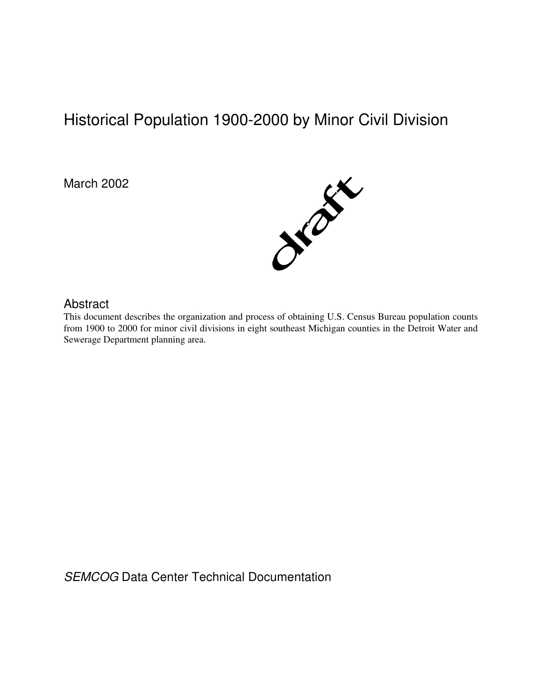# Historical Population 1900-2000 by Minor Civil Division

March 2002



# Abstract

This document describes the organization and process of obtaining U.S. Census Bureau population counts from 1900 to 2000 for minor civil divisions in eight southeast Michigan counties in the Detroit Water and Sewerage Department planning area.

SEMCOG Data Center Technical Documentation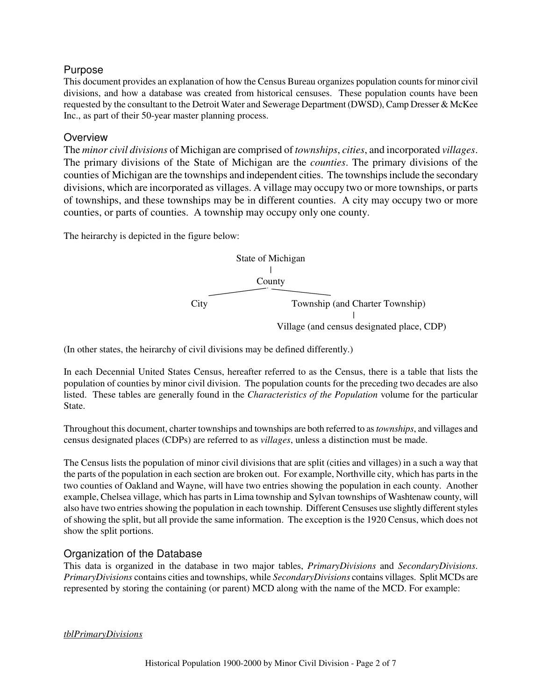# Purpose

This document provides an explanation of how the Census Bureau organizes population counts for minor civil divisions, and how a database was created from historical censuses. These population counts have been requested by the consultant to the Detroit Water and Sewerage Department (DWSD), Camp Dresser & McKee Inc., as part of their 50-year master planning process.

# **Overview**

The *minor civil divisions* of Michigan are comprised of *townships*, *cities*, and incorporated *villages*. The primary divisions of the State of Michigan are the *counties*. The primary divisions of the counties of Michigan are the townships and independent cities. The townships include the secondary divisions, which are incorporated as villages. A village may occupy two or more townships, or parts of townships, and these townships may be in different counties. A city may occupy two or more counties, or parts of counties. A township may occupy only one county.

The heirarchy is depicted in the figure below:



(In other states, the heirarchy of civil divisions may be defined differently.)

In each Decennial United States Census, hereafter referred to as the Census, there is a table that lists the population of counties by minor civil division. The population counts for the preceding two decades are also listed. These tables are generally found in the *Characteristics of the Population* volume for the particular State.

Throughout this document, charter townships and townships are both referred to as *townships*, and villages and census designated places (CDPs) are referred to as *villages*, unless a distinction must be made.

The Census lists the population of minor civil divisions that are split (cities and villages) in a such a way that the parts of the population in each section are broken out. For example, Northville city, which has parts in the two counties of Oakland and Wayne, will have two entries showing the population in each county. Another example, Chelsea village, which has parts in Lima township and Sylvan townships of Washtenaw county, will also have two entries showing the population in each township. Different Censuses use slightly different styles of showing the split, but all provide the same information. The exception is the 1920 Census, which does not show the split portions.

# Organization of the Database

This data is organized in the database in two major tables, *PrimaryDivisions* and *SecondaryDivisions*. *PrimaryDivisions* contains cities and townships, while *SecondaryDivisions* contains villages. Split MCDs are represented by storing the containing (or parent) MCD along with the name of the MCD. For example:

*tblPrimaryDivisions*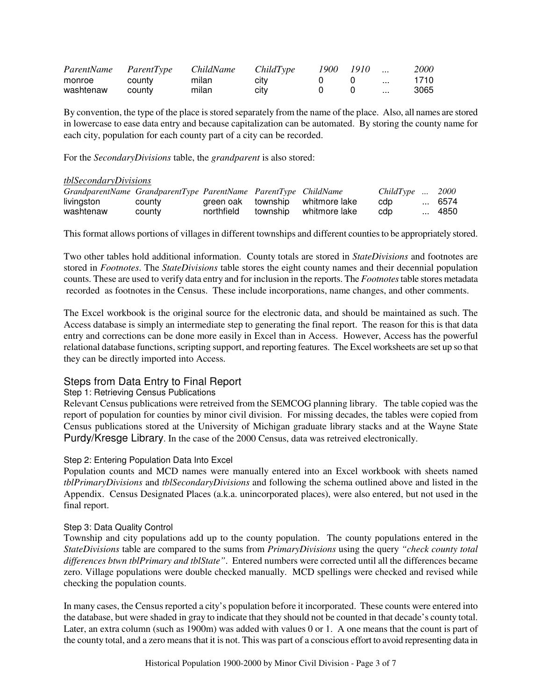| ParentName ParentType |        | ChildName | ChildType | 1900 1910 |                   | <i>2000</i> |
|-----------------------|--------|-----------|-----------|-----------|-------------------|-------------|
| monroe                | county | milan     | city      |           | $\sim$ 100 $\sim$ | 1710        |
| washtenaw             | county | milan     | city      | $\Omega$  |                   | 3065        |

By convention, the type of the place is stored separately from the name of the place. Also, all names are stored in lowercase to ease data entry and because capitalization can be automated. By storing the county name for each city, population for each county part of a city can be recorded.

For the *SecondaryDivisions* table, the *grandparent* is also stored:

#### *tblSecondaryDivisions*

| GrandparentName GrandparentType ParentName ParentType ChildName |        |            |                                  | ChildType | 2000   |
|-----------------------------------------------------------------|--------|------------|----------------------------------|-----------|--------|
| livingston                                                      | county |            | green oak township whitmore lake | cdp       | … 6574 |
| washtenaw                                                       | county | northfield | township whitmore lake           | cdp       | … 4850 |

This format allows portions of villages in different townships and different counties to be appropriately stored.

Two other tables hold additional information. County totals are stored in *StateDivisions* and footnotes are stored in *Footnotes*. The *StateDivisions* table stores the eight county names and their decennial population counts. These are used to verify data entry and for inclusion in the reports. The *Footnotes* table stores metadata recorded as footnotes in the Census. These include incorporations, name changes, and other comments.

The Excel workbook is the original source for the electronic data, and should be maintained as such. The Access database is simply an intermediate step to generating the final report. The reason for this is that data entry and corrections can be done more easily in Excel than in Access. However, Access has the powerful relational database functions, scripting support, and reporting features. The Excel worksheets are set up so that they can be directly imported into Access.

# Steps from Data Entry to Final Report

## Step 1: Retrieving Census Publications

Relevant Census publications were retreived from the SEMCOG planning library. The table copied was the report of population for counties by minor civil division. For missing decades, the tables were copied from Census publications stored at the University of Michigan graduate library stacks and at the Wayne State Purdy/Kresge Library. In the case of the 2000 Census, data was retreived electronically.

## Step 2: Entering Population Data Into Excel

Population counts and MCD names were manually entered into an Excel workbook with sheets named *tblPrimaryDivisions* and *tblSecondaryDivisions* and following the schema outlined above and listed in the Appendix. Census Designated Places (a.k.a. unincorporated places), were also entered, but not used in the final report.

#### Step 3: Data Quality Control

Township and city populations add up to the county population. The county populations entered in the *StateDivisions* table are compared to the sums from *PrimaryDivisions* using the query *"check county total differences btwn tblPrimary and tblState"*. Entered numbers were corrected until all the differences became zero. Village populations were double checked manually. MCD spellings were checked and revised while checking the population counts.

In many cases, the Census reported a city's population before it incorporated. These counts were entered into the database, but were shaded in gray to indicate that they should not be counted in that decade's county total. Later, an extra column (such as 1900m) was added with values 0 or 1. A one means that the count is part of the county total, and a zero means that it is not. This was part of a conscious effort to avoid representing data in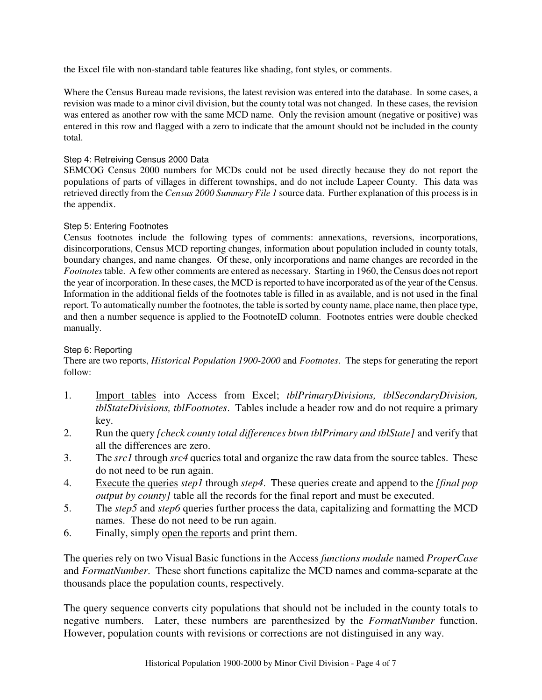the Excel file with non-standard table features like shading, font styles, or comments.

Where the Census Bureau made revisions, the latest revision was entered into the database. In some cases, a revision was made to a minor civil division, but the county total was not changed. In these cases, the revision was entered as another row with the same MCD name. Only the revision amount (negative or positive) was entered in this row and flagged with a zero to indicate that the amount should not be included in the county total.

## Step 4: Retreiving Census 2000 Data

SEMCOG Census 2000 numbers for MCDs could not be used directly because they do not report the populations of parts of villages in different townships, and do not include Lapeer County. This data was retrieved directly from the *Census 2000 Summary File 1* source data. Further explanation of this process is in the appendix.

## Step 5: Entering Footnotes

Census footnotes include the following types of comments: annexations, reversions, incorporations, disincorporations, Census MCD reporting changes, information about population included in county totals, boundary changes, and name changes. Of these, only incorporations and name changes are recorded in the *Footnotes* table. A few other comments are entered as necessary. Starting in 1960, the Census does not report the year of incorporation. In these cases, the MCD is reported to have incorporated as of the year of the Census. Information in the additional fields of the footnotes table is filled in as available, and is not used in the final report. To automatically number the footnotes, the table is sorted by county name, place name, then place type, and then a number sequence is applied to the FootnoteID column. Footnotes entries were double checked manually.

## Step 6: Reporting

There are two reports, *Historical Population 1900-2000* and *Footnotes*. The steps for generating the report follow:

- 1. Import tables into Access from Excel; *tblPrimaryDivisions, tblSecondaryDivision, tblStateDivisions, tblFootnotes*. Tables include a header row and do not require a primary key.
- 2. Run the query *[check county total differences btwn tblPrimary and tblState]* and verify that all the differences are zero.
- 3. The *src1* through *src4* queries total and organize the raw data from the source tables. These do not need to be run again.
- 4. Execute the queries *step1* through *step4*. These queries create and append to the *[final pop output by county]* table all the records for the final report and must be executed.
- 5. The *step5* and *step6* queries further process the data, capitalizing and formatting the MCD names. These do not need to be run again.
- 6. Finally, simply open the reports and print them.

The queries rely on two Visual Basic functions in the Access *functions module* named *ProperCase* and *FormatNumber*. These short functions capitalize the MCD names and comma-separate at the thousands place the population counts, respectively.

The query sequence converts city populations that should not be included in the county totals to negative numbers. Later, these numbers are parenthesized by the *FormatNumber* function. However, population counts with revisions or corrections are not distinguised in any way.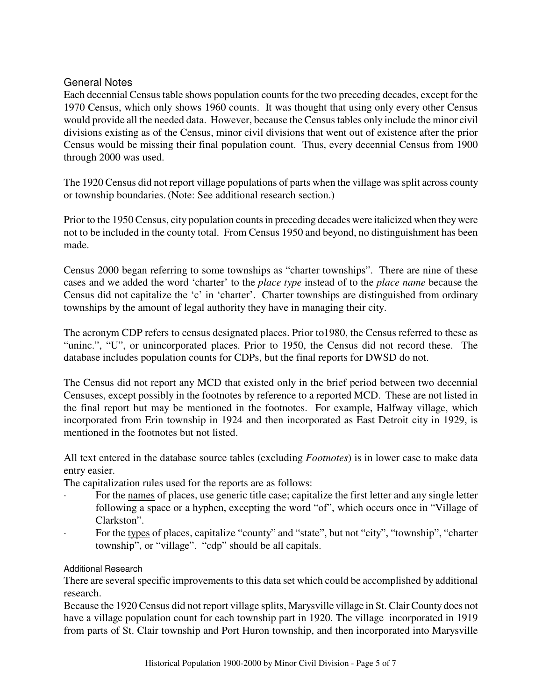# General Notes

Each decennial Census table shows population counts for the two preceding decades, except for the 1970 Census, which only shows 1960 counts. It was thought that using only every other Census would provide all the needed data. However, because the Census tables only include the minor civil divisions existing as of the Census, minor civil divisions that went out of existence after the prior Census would be missing their final population count. Thus, every decennial Census from 1900 through 2000 was used.

The 1920 Census did not report village populations of parts when the village was split across county or township boundaries. (Note: See additional research section.)

Prior to the 1950 Census, city population counts in preceding decades were italicized when they were not to be included in the county total. From Census 1950 and beyond, no distinguishment has been made.

Census 2000 began referring to some townships as "charter townships". There are nine of these cases and we added the word 'charter' to the *place type* instead of to the *place name* because the Census did not capitalize the 'c' in 'charter'. Charter townships are distinguished from ordinary townships by the amount of legal authority they have in managing their city.

The acronym CDP refers to census designated places. Prior to1980, the Census referred to these as "uninc.", "U", or unincorporated places. Prior to 1950, the Census did not record these. The database includes population counts for CDPs, but the final reports for DWSD do not.

The Census did not report any MCD that existed only in the brief period between two decennial Censuses, except possibly in the footnotes by reference to a reported MCD. These are not listed in the final report but may be mentioned in the footnotes. For example, Halfway village, which incorporated from Erin township in 1924 and then incorporated as East Detroit city in 1929, is mentioned in the footnotes but not listed.

All text entered in the database source tables (excluding *Footnotes*) is in lower case to make data entry easier.

The capitalization rules used for the reports are as follows:

- For the names of places, use generic title case; capitalize the first letter and any single letter following a space or a hyphen, excepting the word "of", which occurs once in "Village of Clarkston".
- For the types of places, capitalize "county" and "state", but not "city", "township", "charter township", or "village". "cdp" should be all capitals.

# Additional Research

There are several specific improvements to this data set which could be accomplished by additional research.

Because the 1920 Census did not report village splits, Marysville village in St. Clair County does not have a village population count for each township part in 1920. The village incorporated in 1919 from parts of St. Clair township and Port Huron township, and then incorporated into Marysville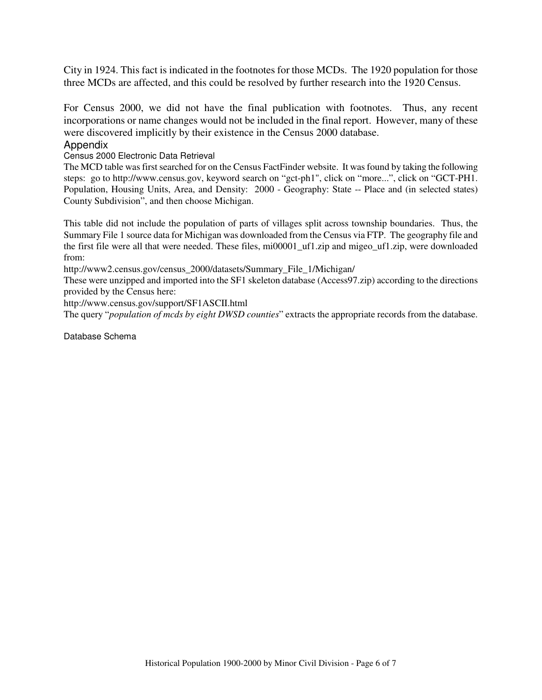City in 1924. This fact is indicated in the footnotes for those MCDs. The 1920 population for those three MCDs are affected, and this could be resolved by further research into the 1920 Census.

For Census 2000, we did not have the final publication with footnotes. Thus, any recent incorporations or name changes would not be included in the final report. However, many of these were discovered implicitly by their existence in the Census 2000 database.

# **Appendix**

Census 2000 Electronic Data Retrieval

The MCD table was first searched for on the Census FactFinder website. It was found by taking the following steps: go to http://www.census.gov, keyword search on "gct-ph1", click on "more...", click on "GCT-PH1. Population, Housing Units, Area, and Density: 2000 - Geography: State -- Place and (in selected states) County Subdivision", and then choose Michigan.

This table did not include the population of parts of villages split across township boundaries. Thus, the Summary File 1 source data for Michigan was downloaded from the Census via FTP. The geography file and the first file were all that were needed. These files, mi00001\_uf1.zip and migeo\_uf1.zip, were downloaded from:

http://www2.census.gov/census\_2000/datasets/Summary\_File\_1/Michigan/

These were unzipped and imported into the SF1 skeleton database (Access97.zip) according to the directions provided by the Census here:

http://www.census.gov/support/SF1ASCII.html

The query "*population of mcds by eight DWSD counties*" extracts the appropriate records from the database.

Database Schema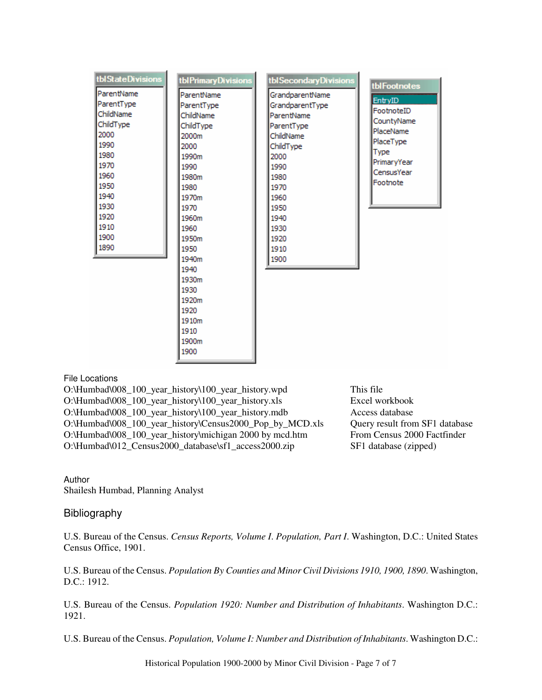| tblStateDivisions                                                                                                                                  | tblPrimaryDivisions                                                                                                                                                                                                                   | tblSecondaryDivisions                                                                                                                                                            |                                                                                                                                |
|----------------------------------------------------------------------------------------------------------------------------------------------------|---------------------------------------------------------------------------------------------------------------------------------------------------------------------------------------------------------------------------------------|----------------------------------------------------------------------------------------------------------------------------------------------------------------------------------|--------------------------------------------------------------------------------------------------------------------------------|
| ParentName<br>ParentType<br>ChildName<br>ChildType<br>2000<br>1990<br>1980<br>1970<br>1960<br>1950<br>1940<br>1930<br>1920<br>1910<br>1900<br>1890 | ParentName<br>ParentType<br>ChildName<br>ChildType<br>2000m<br>2000<br>1990m<br>1990<br>1980m<br>1980<br>1970m<br>1970<br>1960m<br>1960<br>1950m<br>1950<br>1940m<br>1940<br>1930m<br>1930<br>1920m<br>1920<br>1910m<br>1910<br>1900m | GrandparentName<br>GrandparentType<br>ParentName<br>ParentType<br>ChildName<br>ChildType<br>2000<br>1990<br>1980<br>1970<br>1960<br>1950<br>1940<br>1930<br>1920<br>1910<br>1900 | tblFootnotes<br>EntryID<br>FootnoteID<br>CountyName<br>PlaceName<br>PlaceType<br>Type<br>PrimaryYear<br>CensusYear<br>Footnote |

File Locations

O:\Humbad\008\_100\_year\_history\100\_year\_history.wpd This file O:\Humbad\008\_100\_year\_history\100\_year\_history.xls Excel workbook O:\Humbad\008\_100\_year\_history\100\_year\_history.mdb Access database O:\Humbad\008\_100\_year\_history\Census2000\_Pop\_by\_MCD.xls Query result from SF1 database O:\Humbad\008\_100\_year\_history\michigan 2000 by mcd.htm From Census 2000 Factfinder O:\Humbad\012\_Census2000\_database\sf1\_access2000.zip SF1 database (zipped)

Author Shailesh Humbad, Planning Analyst

# Bibliography

U.S. Bureau of the Census. *Census Reports, Volume I*. *Population, Part I*. Washington, D.C.: United States Census Office, 1901.

U.S. Bureau of the Census. *Population By Counties and Minor Civil Divisions 1910, 1900, 1890*. Washington, D.C.: 1912.

U.S. Bureau of the Census. *Population 1920: Number and Distribution of Inhabitants*. Washington D.C.: 1921.

U.S. Bureau of the Census. *Population, Volume I: Number and Distribution of Inhabitants*. Washington D.C.: